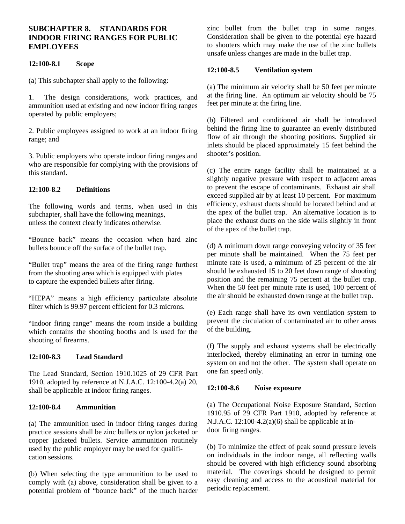# **SUBCHAPTER 8. STANDARDS FOR INDOOR FIRING RANGES FOR PUBLIC EMPLOYEES**

### **12:100-8.1 Scope**

(a) This subchapter shall apply to the following:

1. The design considerations, work practices, and ammunition used at existing and new indoor firing ranges operated by public employers;

2. Public employees assigned to work at an indoor firing range; and

3. Public employers who operate indoor firing ranges and who are responsible for complying with the provisions of this standard.

## **12:100-8.2 Definitions**

The following words and terms, when used in this subchapter, shall have the following meanings, unless the context clearly indicates otherwise.

"Bounce back" means the occasion when hard zinc bullets bounce off the surface of the bullet trap.

"Bullet trap" means the area of the firing range furthest from the shooting area which is equipped with plates to capture the expended bullets after firing.

"HEPA" means a high efficiency particulate absolute filter which is 99.97 percent efficient for 0.3 microns.

"Indoor firing range" means the room inside a building which contains the shooting booths and is used for the shooting of firearms.

### **12:100-8.3 Lead Standard**

The Lead Standard, Section 1910.1025 of 29 CFR Part 1910, adopted by reference at N.J.A.C. 12:100-4.2(a) 20, shall be applicable at indoor firing ranges.

### **12:100-8.4 Ammunition**

(a) The ammunition used in indoor firing ranges during practice sessions shall be zinc bullets or nylon jacketed or copper jacketed bullets. Service ammunition routinely used by the public employer may be used for qualification sessions.

(b) When selecting the type ammunition to be used to comply with (a) above, consideration shall be given to a potential problem of "bounce back" of the much harder

zinc bullet from the bullet trap in some ranges. Consideration shall be given to the potential eye hazard to shooters which may make the use of the zinc bullets unsafe unless changes are made in the bullet trap.

#### **12:100-8.5 Ventilation system**

(a) The minimum air velocity shall be 50 feet per minute at the firing line. An optimum air velocity should be 75 feet per minute at the firing line.

(b) Filtered and conditioned air shall be introduced behind the firing line to guarantee an evenly distributed flow of air through the shooting positions. Supplied air inlets should be placed approximately 15 feet behind the shooter's position.

(c) The entire range facility shall be maintained at a slightly negative pressure with respect to adjacent areas to prevent the escape of contaminants. Exhaust air shall exceed supplied air by at least 10 percent. For maximum efficiency, exhaust ducts should be located behind and at the apex of the bullet trap. An alternative location is to place the exhaust ducts on the side walls slightly in front of the apex of the bullet trap.

(d) A minimum down range conveying velocity of 35 feet per minute shall be maintained. When the 75 feet per minute rate is used, a minimum of 25 percent of the air should be exhausted 15 to 20 feet down range of shooting position and the remaining 75 percent at the bullet trap. When the 50 feet per minute rate is used, 100 percent of the air should be exhausted down range at the bullet trap.

(e) Each range shall have its own ventilation system to prevent the circulation of contaminated air to other areas of the building.

(f) The supply and exhaust systems shall be electrically interlocked, thereby eliminating an error in turning one system on and not the other. The system shall operate on one fan speed only.

### **12:100-8.6 Noise exposure**

(a) The Occupational Noise Exposure Standard, Section 1910.95 of 29 CFR Part 1910, adopted by reference at N.J.A.C.  $12:100-4.2(a)(6)$  shall be applicable at indoor firing ranges.

(b) To minimize the effect of peak sound pressure levels on individuals in the indoor range, all reflecting walls should be covered with high efficiency sound absorbing material. The coverings should be designed to permit easy cleaning and access to the acoustical material for periodic replacement.